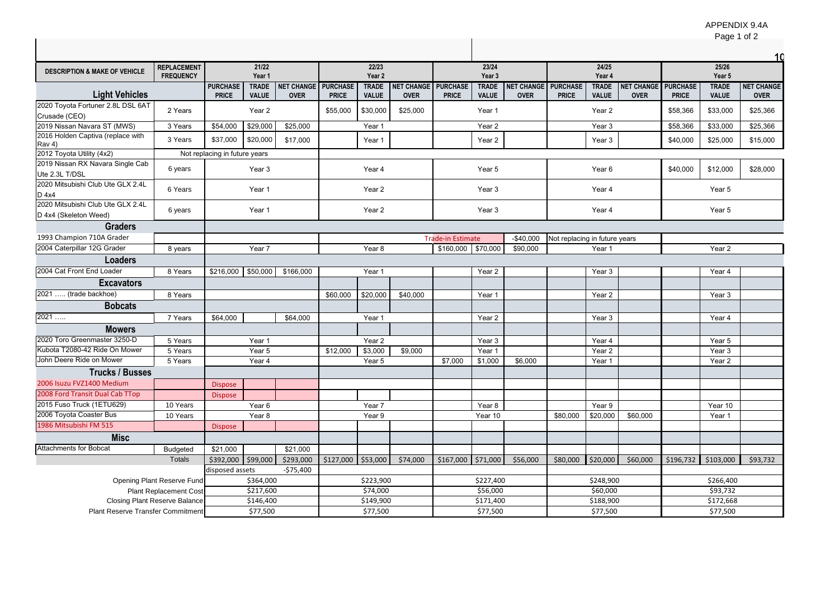|                                                            |                                        |                                 |                              |                                 |                                  |                              |             |                                            |                              |                                           |                               |                              |                           |                                 | <b>Faye</b> TUIZ             |                                  |  |
|------------------------------------------------------------|----------------------------------------|---------------------------------|------------------------------|---------------------------------|----------------------------------|------------------------------|-------------|--------------------------------------------|------------------------------|-------------------------------------------|-------------------------------|------------------------------|---------------------------|---------------------------------|------------------------------|----------------------------------|--|
| <b>DESCRIPTION &amp; MAKE OF VEHICLE</b>                   | <b>REPLACEMENT</b><br><b>FREQUENCY</b> |                                 | 21/22<br>Year 1              |                                 |                                  | 22/23<br>Year 2              |             |                                            | 23/24<br>Year 3              |                                           |                               | 24/25<br>Year 4              |                           |                                 | 25/26<br>Year 5              |                                  |  |
| <b>Light Vehicles</b>                                      |                                        | <b>PURCHASE</b><br><b>PRICE</b> | <b>TRADE</b><br><b>VALUE</b> | NET CHANGE<br><b>OVER</b>       | <b>PURCHASE</b><br><b>PRICE</b>  | <b>TRADE</b><br><b>VALUE</b> | <b>OVER</b> | <b>VET CHANGE PURCHASE</b><br><b>PRICE</b> | <b>TRADE</b><br><b>VALUE</b> | <b>NET CHANGE PURCHASE</b><br><b>OVER</b> | <b>PRICE</b>                  | <b>TRADE</b><br><b>VALUE</b> | NET CHANGE<br><b>OVER</b> | <b>PURCHASE</b><br><b>PRICE</b> | <b>TRADE</b><br><b>VALUE</b> | <b>NET CHANGE</b><br><b>OVER</b> |  |
| 2020 Toyota Fortuner 2.8L DSL 6AT<br>Crusade (CEO)         | 2 Years                                |                                 | Year 2                       |                                 | \$55,000                         | \$30,000                     | \$25,000    |                                            | Year 1                       |                                           |                               | Year 2                       |                           | \$58,366                        | \$33,000                     | \$25,366                         |  |
| 2019 Nissan Navara ST (MWS)                                | 3 Years                                | \$54,000                        | \$29,000                     | \$25,000                        |                                  | Year 1                       |             |                                            | Year <sub>2</sub>            |                                           |                               | Year 3                       |                           | \$58,366                        | \$33,000                     | \$25,366                         |  |
| 2016 Holden Captiva (replace with<br>$\vert$ Rav 4)        | 3 Years                                | \$37,000                        | \$20,000                     | \$17,000                        |                                  | Year 1                       |             |                                            | Year <sub>2</sub>            |                                           |                               | Year 3                       |                           | \$40,000                        | \$25,000                     | \$15,000                         |  |
| $ 2012$ Toyota Utility (4x2)                               |                                        | Not replacing in future years   |                              |                                 |                                  |                              |             |                                            |                              |                                           |                               |                              |                           |                                 |                              |                                  |  |
| 2019 Nissan RX Navara Single Cab<br>Ute 2.3L T/DSL         | 6 years                                |                                 | Year 3                       |                                 |                                  | Year 4                       |             |                                            | Year 5                       |                                           |                               | Year 6                       |                           | \$40,000                        | \$12,000                     | \$28,000                         |  |
| 2020 Mitsubishi Club Ute GLX 2.4L<br>D 4x4                 | 6 Years                                |                                 | Year 1                       |                                 |                                  | Year 2                       |             |                                            | Year 3                       |                                           |                               | Year 4                       |                           |                                 | Year 5                       |                                  |  |
| 2020 Mitsubishi Club Ute GLX 2.4L<br>D 4x4 (Skeleton Weed) | 6 years                                |                                 | Year 1                       |                                 |                                  | Year 2                       |             |                                            | Year 3                       |                                           |                               | Year 4                       |                           |                                 | Year 5                       |                                  |  |
| <b>Graders</b>                                             |                                        |                                 |                              |                                 |                                  |                              |             |                                            |                              |                                           |                               |                              |                           |                                 |                              |                                  |  |
| 1993 Champion 710A Grader                                  |                                        |                                 |                              |                                 |                                  |                              |             | <b>Trade-in Estimate</b>                   |                              | $-$40,000$                                | Not replacing in future years |                              |                           |                                 |                              |                                  |  |
| 2004 Caterpillar 12G Grader                                | 8 years                                |                                 | Year 7                       |                                 |                                  | Year 8                       |             | \$160,000                                  | \$70,000                     | \$90,000                                  |                               | Year 1                       |                           |                                 | Year 2                       |                                  |  |
| <b>Loaders</b>                                             |                                        |                                 |                              |                                 |                                  |                              |             |                                            |                              |                                           |                               |                              |                           |                                 |                              |                                  |  |
| 2004 Cat Front End Loader                                  | 8 Years                                |                                 |                              | $$216,000$ $$50,000$ $$166,000$ |                                  | Year 1                       |             |                                            | Year 2                       |                                           |                               | Year 3                       |                           |                                 | Year 4                       |                                  |  |
| <b>Excavators</b>                                          |                                        |                                 |                              |                                 |                                  |                              |             |                                            |                              |                                           |                               |                              |                           |                                 |                              |                                  |  |
| 2021  (trade backhoe)                                      | 8 Years                                |                                 |                              |                                 | \$60,000                         | \$20,000                     | \$40,000    |                                            | Year 1                       |                                           |                               | Year 2                       |                           |                                 | Year 3                       |                                  |  |
| <b>Bobcats</b>                                             |                                        |                                 |                              |                                 |                                  |                              |             |                                            |                              |                                           |                               |                              |                           |                                 |                              |                                  |  |
| 2021                                                       | 7 Years                                | \$64,000                        |                              | \$64,000                        |                                  | Year 1                       |             |                                            | Year 2                       |                                           |                               | Year 3                       |                           |                                 | Year 4                       |                                  |  |
| <b>Mowers</b>                                              |                                        |                                 |                              |                                 |                                  |                              |             |                                            |                              |                                           |                               |                              |                           |                                 |                              |                                  |  |
| 2020 Toro Greenmaster 3250-D                               | 5 Years                                |                                 | Year 1                       |                                 |                                  | Year 2                       |             |                                            | Year 3                       |                                           |                               | Year 4                       |                           |                                 | Year 5                       |                                  |  |
| Kubota T2080-42 Ride On Mower                              | 5 Years                                |                                 | Year 5                       |                                 | \$12,000                         | \$3,000                      | \$9,000     |                                            | Year 1                       |                                           |                               | Year 2                       |                           |                                 | Year 3                       |                                  |  |
| John Deere Ride on Mower                                   | 5 Years                                |                                 | Year 4                       |                                 |                                  | Year 5                       |             | \$7,000                                    | \$1,000                      | \$6,000                                   |                               | Year 1                       |                           |                                 | Year 2                       |                                  |  |
| <b>Trucks / Busses</b>                                     |                                        |                                 |                              |                                 |                                  |                              |             |                                            |                              |                                           |                               |                              |                           |                                 |                              |                                  |  |
| 2006 Isuzu FVZ1400 Medium                                  |                                        | <b>Dispose</b>                  |                              |                                 |                                  |                              |             |                                            |                              |                                           |                               |                              |                           |                                 |                              |                                  |  |
| 2008 Ford Transit Dual Cab TTop                            |                                        | <b>Dispose</b>                  |                              |                                 |                                  |                              |             |                                            |                              |                                           |                               |                              |                           |                                 |                              |                                  |  |
| 2015 Fuso Truck (1ETU629)                                  | 10 Years                               |                                 | Year 6                       |                                 |                                  | Year 7                       |             |                                            | Year 8                       |                                           |                               | Year 9                       |                           |                                 | Year 10                      |                                  |  |
| 2006 Toyota Coaster Bus                                    | 10 Years                               |                                 | Year 8                       |                                 |                                  | Year 9                       |             |                                            | Year 10                      |                                           | \$80,000                      | \$20,000                     | \$60,000                  |                                 | Year 1                       |                                  |  |
| 1986 Mitsubishi FM 515                                     |                                        | <b>Dispose</b>                  |                              |                                 |                                  |                              |             |                                            |                              |                                           |                               |                              |                           |                                 |                              |                                  |  |
| <b>Misc</b>                                                |                                        |                                 |                              |                                 |                                  |                              |             |                                            |                              |                                           |                               |                              |                           |                                 |                              |                                  |  |
| <b>Attachments for Bobcat</b>                              | <b>Budgeted</b>                        | \$21,000                        |                              | \$21,000                        |                                  |                              |             |                                            |                              |                                           |                               |                              |                           |                                 |                              |                                  |  |
|                                                            | <b>Totals</b>                          | \$392,000 \$99,000              |                              | \$293,000                       | $\frac{1}{2}$ \$127,000 \$53,000 |                              | \$74,000    |                                            |                              | $$167,000$ \$71,000 \$56,000              |                               | \$80,000 \$20,000            | \$60,000                  |                                 | $$196,732$ $$103,000$        | \$93,732                         |  |
|                                                            |                                        | disposed assets                 |                              | $-575,400$                      |                                  |                              |             |                                            |                              |                                           |                               |                              |                           |                                 |                              |                                  |  |
| <b>Opening Plant Reserve Fund</b>                          |                                        | \$364,000                       |                              |                                 | \$223,900                        |                              |             | \$227,400                                  |                              |                                           | \$248,900                     |                              |                           |                                 | \$266,400                    |                                  |  |
|                                                            | <b>Plant Replacement Cost</b>          |                                 | \$217,600                    |                                 | \$74,000                         |                              |             |                                            | \$56,000                     |                                           |                               | \$60,000                     |                           |                                 | \$93,732                     |                                  |  |
|                                                            | <b>Closing Plant Reserve Balance</b>   |                                 | \$146,400                    |                                 |                                  | \$149,900                    |             |                                            | \$171,400                    |                                           |                               | \$188,900                    |                           |                                 | \$172,668                    |                                  |  |
| <b>Plant Reserve Transfer Commitment</b>                   |                                        |                                 | \$77,500                     |                                 |                                  | \$77,500                     |             |                                            | \$77,500                     |                                           |                               | \$77,500                     |                           |                                 | \$77,500                     |                                  |  |

## APPENDIX 9.4A

Page 1 of 2